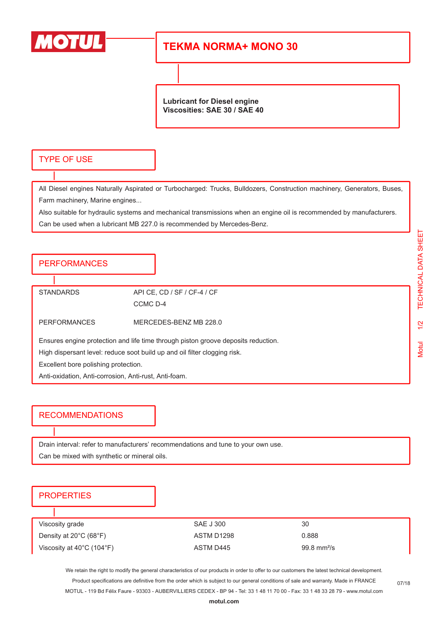

# **TEKMA NORMA+ MONO 30**

**Lubricant for Diesel engine Viscosities: SAE 30 / SAE 40**

#### TYPE OF USE

All Diesel engines Naturally Aspirated or Turbocharged: Trucks, Bulldozers, Construction machinery, Generators, Buses, Farm machinery, Marine engines...

Also suitable for hydraulic systems and mechanical transmissions when an engine oil is recommended by manufacturers. Can be used when a lubricant MB 227.0 is recommended by Mercedes-Benz.

### PERFORMANCES

STANDARDS API CE, CD / SF / CF-4 / CF CCMC D-4

PERFORMANCES MERCEDES-BENZ MB 228.0

Ensures engine protection and life time through piston groove deposits reduction.

High dispersant level: reduce soot build up and oil filter clogging risk.

Excellent bore polishing protection.

Anti-oxidation, Anti-corrosion, Anti-rust, Anti-foam.

#### RECOMMENDATIONS

Drain interval: refer to manufacturers' recommendations and tune to your own use.

Can be mixed with synthetic or mineral oils.

#### **PROPERTIES**

| Viscosity grade                                | SAE J 300  | 30                           |
|------------------------------------------------|------------|------------------------------|
| Density at $20^{\circ}$ C (68 $^{\circ}$ F)    | ASTM D1298 | 0.888                        |
| Viscosity at $40^{\circ}$ C (104 $^{\circ}$ F) | ASTM D445  | $99.8 \text{ mm}^2/\text{s}$ |

We retain the right to modify the general characteristics of our products in order to offer to our customers the latest technical development. Product specifications are definitive from the order which is subject to our general conditions of sale and warranty. Made in FRANCE MOTUL - 119 Bd Félix Faure - 93303 - AUBERVILLIERS CEDEX - BP 94 - Tel: 33 1 48 11 70 00 - Fax: 33 1 48 33 28 79 - www.motul.com